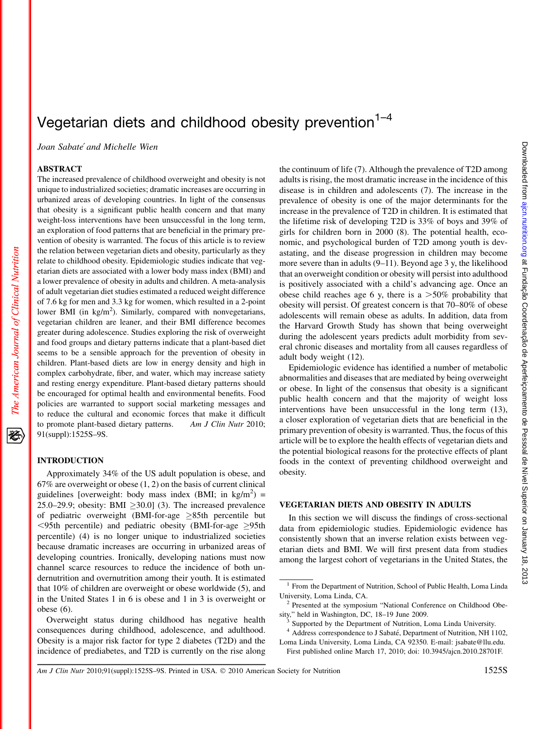## Vegetarian diets and childhood obesity prevention $1-4$

Joan Sabate´ and Michelle Wien

### **ABSTRACT**

The increased prevalence of childhood overweight and obesity is not unique to industrialized societies; dramatic increases are occurring in urbanized areas of developing countries. In light of the consensus that obesity is a significant public health concern and that many weight-loss interventions have been unsuccessful in the long term, an exploration of food patterns that are beneficial in the primary prevention of obesity is warranted. The focus of this article is to review the relation between vegetarian diets and obesity, particularly as they relate to childhood obesity. Epidemiologic studies indicate that vegetarian diets are associated with a lower body mass index (BMI) and a lower prevalence of obesity in adults and children. A meta-analysis of adult vegetarian diet studies estimated a reduced weight difference of 7.6 kg for men and 3.3 kg for women, which resulted in a 2-point lower BMI (in  $\text{kg/m}^2$ ). Similarly, compared with nonvegetarians, vegetarian children are leaner, and their BMI difference becomes greater during adolescence. Studies exploring the risk of overweight and food groups and dietary patterns indicate that a plant-based diet seems to be a sensible approach for the prevention of obesity in children. Plant-based diets are low in energy density and high in complex carbohydrate, fiber, and water, which may increase satiety and resting energy expenditure. Plant-based dietary patterns should be encouraged for optimal health and environmental benefits. Food policies are warranted to support social marketing messages and to reduce the cultural and economic forces that make it difficult to promote plant-based dietary patterns. Am J Clin Nutr 2010; 91(suppl):1525S–9S.

Approximately 34% of the US adult population is obese, and  $67\%$  are overweight or obese  $(1, 2)$  on the basis of current clinical guidelines [overweight: body mass index (BMI; in  $\text{kg/m}^2$ ) = 25.0–29.9; obesity: BMI  $\geq$ 30.0] (3). The increased prevalence of pediatric overweight (BMI-for-age  $\geq 85$ th percentile but  $\leq$ 95th percentile) and pediatric obesity (BMI-for-age  $\geq$ 95th percentile) (4) is no longer unique to industrialized societies because dramatic increases are occurring in urbanized areas of developing countries. Ironically, developing nations must now channel scarce resources to reduce the incidence of both undernutrition and overnutrition among their youth. It is estimated that 10% of children are overweight or obese worldwide (5), and in the United States 1 in 6 is obese and 1 in 3 is overweight or obese (6).

Overweight status during childhood has negative health consequences during childhood, adolescence, and adulthood. Obesity is a major risk factor for type 2 diabetes (T2D) and the incidence of prediabetes, and T2D is currently on the rise along

the continuum of life (7). Although the prevalence of T2D among adults is rising, the most dramatic increase in the incidence of this disease is in children and adolescents (7). The increase in the prevalence of obesity is one of the major determinants for the increase in the prevalence of T2D in children. It is estimated that the lifetime risk of developing T2D is 33% of boys and 39% of girls for children born in 2000 (8). The potential health, economic, and psychological burden of T2D among youth is devastating, and the disease progression in children may become more severe than in adults (9–11). Beyond age 3 y, the likelihood that an overweight condition or obesity will persist into adulthood is positively associated with a child's advancing age. Once an obese child reaches age 6 y, there is a  $>50\%$  probability that obesity will persist. Of greatest concern is that 70–80% of obese adolescents will remain obese as adults. In addition, data from the Harvard Growth Study has shown that being overweight during the adolescent years predicts adult morbidity from several chronic diseases and mortality from all causes regardless of adult body weight (12).

Epidemiologic evidence has identified a number of metabolic abnormalities and diseases that are mediated by being overweight or obese. In light of the consensus that obesity is a significant public health concern and that the majority of weight loss interventions have been unsuccessful in the long term (13), a closer exploration of vegetarian diets that are beneficial in the primary prevention of obesity is warranted. Thus, the focus of this article will be to explore the health effects of vegetarian diets and the potential biological reasons for the protective effects of plant foods in the context of preventing childhood overweight and obesity.

In this section we will discuss the findings of cross-sectional data from epidemiologic studies. Epidemiologic evidence has consistently shown that an inverse relation exists between vegetarian diets and BMI. We will first present data from studies among the largest cohort of vegetarians in the United States, the

Am J Clin Nutr 2010;91(suppl):1525S–9S. Printed in USA.  $\odot$  2010 American Society for Nutrition 1525S

<sup>&</sup>lt;sup>1</sup> From the Department of Nutrition, School of Public Health, Loma Linda University, Loma Linda, CA.<br><sup>2</sup> Presented at the symposium "National Conference on Childhood Obe-

sity," held in Washington, DC, 18–19 June 2009.<br><sup>3</sup> Supported by the Department of Nutrition, Loma Linda University.

<sup>&</sup>lt;sup>4</sup> Address correspondence to J Sabaté, Department of Nutrition, NH 1102, Loma Linda University, Loma Linda, CA 92350. E-mail: jsabate@llu.edu.

First published online March 17, 2010; doi: 10.3945/ajcn.2010.28701F.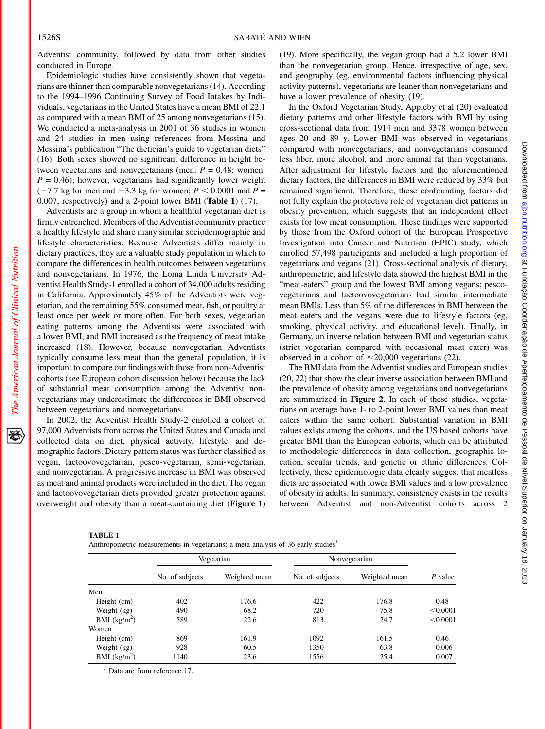Adventist community, followed by data from other studies conducted in Europe.

Epidemiologic studies have consistently shown that vegetarians are thinner than comparable nonvegetarians (14). According to the 1994–1996 Continuing Survey of Food Intakes by Individuals, vegetarians in the United States have a mean BMI of 22.1 as compared with a mean BMI of 25 among nonvegetarians (15). We conducted a meta-analysis in 2001 of 36 studies in women and 24 studies in men using references from Messina and Messina's publication "The dietician's guide to vegetarian diets" (16). Both sexes showed no significant difference in height between vegetarians and nonvegetarians (men:  $P = 0.48$ ; women:  $P = 0.46$ ; however, vegetarians had significantly lower weight  $(-7.7 \text{ kg}$  for men and  $-3.3 \text{ kg}$  for women;  $P < 0.0001$  and  $P =$ 0.007, respectively) and a 2-point lower BMI (Table 1) (17).

Adventists are a group in whom a healthful vegetarian diet is firmly entrenched. Members of the Adventist community practice a healthy lifestyle and share many similar sociodemographic and lifestyle characteristics. Because Adventists differ mainly in dietary practices, they are a valuable study population in which to compare the differences in health outcomes between vegetarians and nonvegetarians. In 1976, the Loma Linda University Adventist Health Study-1 enrolled a cohort of 34,000 adults residing in California. Approximately 45% of the Adventists were vegetarian, and the remaining 55% consumed meat, fish, or poultry at least once per week or more often. For both sexes, vegetarian eating patterns among the Adventists were associated with a lower BMI, and BMI increased as the frequency of meat intake increased (18). However, because nonvegetarian Adventists typically consume less meat than the general population, it is important to compare our findings with those from non-Adventist cohorts (see European cohort discussion below) because the lack of substantial meat consumption among the Adventist nonvegetarians may underestimate the differences in BMI observed between vegetarians and nonvegetarians.

In 2002, the Adventist Health Study-2 enrolled a cohort of 97,000 Adventists from across the United States and Canada and collected data on diet, physical activity, lifestyle, and demographic factors. Dietary pattern status was further classified as vegan, lactoovovegetarian, pesco-vegetarian, semi-vegetarian, and nonvegetarian. A progressive increase in BMI was observed as meat and animal products were included in the diet. The vegan and lactoovovegetarian diets provided greater protection against overweight and obesity than a meat-containing diet (Figure 1)

(19). More specifically, the vegan group had a 5.2 lower BMI than the nonvegetarian group. Hence, irrespective of age, sex, and geography (eg, environmental factors influencing physical activity patterns), vegetarians are leaner than nonvegetarians and have a lower prevalence of obesity (19).

In the Oxford Vegetarian Study, Appleby et al (20) evaluated dietary patterns and other lifestyle factors with BMI by using cross-sectional data from 1914 men and 3378 women between ages 20 and 89 y. Lower BMI was observed in vegetarians compared with nonvegetarians, and nonvegetarians consumed less fiber, more alcohol, and more animal fat than vegetarians. After adjustment for lifestyle factors and the aforementioned dietary factors, the differences in BMI were reduced by 33% but remained significant. Therefore, these confounding factors did not fully explain the protective role of vegetarian diet patterns in obesity prevention, which suggests that an independent effect exists for low meat consumption. These findings were supported by those from the Oxford cohort of the European Prospective Investigation into Cancer and Nutrition (EPIC) study, which enrolled 57,498 participants and included a high proportion of vegetarians and vegans (21). Cross-sectional analysis of dietary, anthropometric, and lifestyle data showed the highest BMI in the "meat-eaters" group and the lowest BMI among vegans; pescovegetarians and lactoovovegetarians had similar intermediate mean BMIs. Less than 5% of the differences in BMI between the meat eaters and the vegans were due to lifestyle factors (eg, smoking, physical activity, and educational level). Finally, in Germany, an inverse relation between BMI and vegetarian status (strict vegetarian compared with occasional meat eater) was observed in a cohort of  $\approx$  20,000 vegetarians (22).

The BMI data from the Adventist studies and European studies (20, 22) that show the clear inverse association between BMI and the prevalence of obesity among vegetarians and nonvegetarians are summarized in Figure 2. In each of these studies, vegetarians on average have 1- to 2-point lower BMI values than meat eaters within the same cohort. Substantial variation in BMI values exists among the cohorts, and the US based cohorts have greater BMI than the European cohorts, which can be attributed to methodologic differences in data collection, geographic location, secular trends, and genetic or ethnic differences. Collectively, these epidemiologic data clearly suggest that meatless diets are associated with lower BMI values and a low prevalence of obesity in adults. In summary, consistency exists in the results between Adventist and non-Adventist cohorts across 2

| TABLE 1   |  |
|-----------|--|
| Anthropor |  |

| Anthropometric measurements in vegetarians: a meta-analysis of 36 early studies <sup>1</sup> |  |  |  |  |  |
|----------------------------------------------------------------------------------------------|--|--|--|--|--|
|                                                                                              |  |  |  |  |  |

|                |                 | Vegetarian | Nonvegetarian   | P value |               |
|----------------|-----------------|------------|-----------------|---------|---------------|
|                | No. of subjects |            | No. of subjects |         | Weighted mean |
| Men            |                 |            |                 |         |               |
| Height (cm)    | 402             | 176.6      | 422             | 176.8   | 0.48          |
| Weight (kg)    | 490             | 68.2       | 720             | 75.8    | < 0.0001      |
| BMI $(kg/m^2)$ | 589             | 22.6       | 813             | 24.7    | < 0.0001      |
| Women          |                 |            |                 |         |               |
| Height (cm)    | 869             | 161.9      | 1092            | 161.5   | 0.46          |
| Weight (kg)    | 928             | 60.5       | 1350            | 63.8    | 0.006         |
| BMI $(kg/m2)$  | 1140            | 23.6       | 1556            | 25.4    | 0.007         |

 $<sup>1</sup>$  Data are from reference 17.</sup>

The American Journal of Clinical Nutrition

资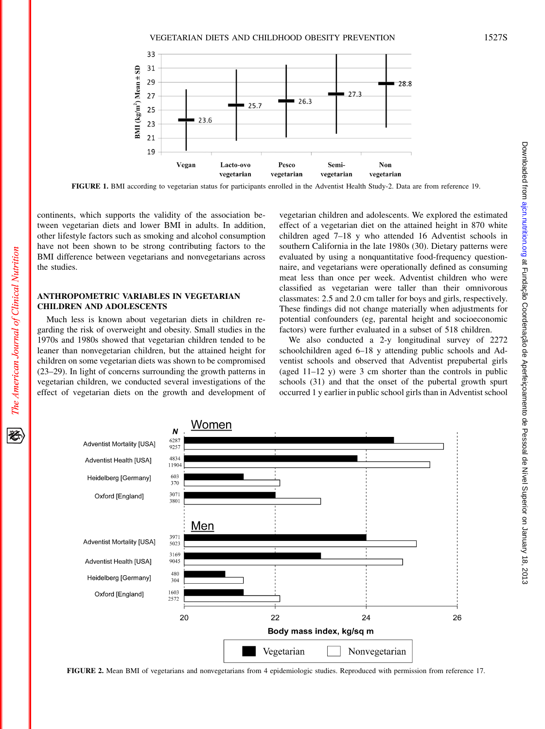VEGETARIAN DIETS AND CHILDHOOD OBESITY PREVENTION 1527S



continents, which supports the validity of the association between vegetarian diets and lower BMI in adults. In addition, other lifestyle factors such as smoking and alcohol consumption have not been shown to be strong contributing factors to the FIGURE 1. BMI according to vegetarian status for participants enrolled in the Adventist Health Study-2. Data are from reference 19.

### **ANTHROPOMETRIC VARIABLES IN VEGETARIAN CHILDREN AND ADOLESCENTS**

BMI difference between vegetarians and nonvegetarians across

Much less is known about vegetarian diets in children regarding the risk of overweight and obesity. Small studies in the 1970s and 1980s showed that vegetarian children tended to be leaner than nonvegetarian children, but the attained height for children on some vegetarian diets was shown to be compromised (23–29). In light of concerns surrounding the growth patterns in vegetarian children, we conducted several investigations of the effect of vegetarian diets on the growth and development of vegetarian children and adolescents. We explored the estimated effect of a vegetarian diet on the attained height in 870 white children aged 7–18 y who attended 16 Adventist schools in southern California in the late 1980s (30). Dietary patterns were evaluated by using a nonquantitative food-frequency questionnaire, and vegetarians were operationally defined as consuming meat less than once per week. Adventist children who were classified as vegetarian were taller than their omnivorous classmates: 2.5 and 2.0 cm taller for boys and girls, respectively. These findings did not change materially when adjustments for potential confounders (eg, parental height and socioeconomic factors) were further evaluated in a subset of 518 children.

We also conducted a 2-y longitudinal survey of 2272 schoolchildren aged 6–18 y attending public schools and Adventist schools and observed that Adventist prepubertal girls (aged 11–12 y) were 3 cm shorter than the controls in public schools (31) and that the onset of the pubertal growth spurt occurred 1 y earlier in public school girls than in Adventist school



FIGURE 2. Mean BMI of vegetarians and nonvegetarians from 4 epidemiologic studies. Reproduced with permission from reference 17.

豾

the studies.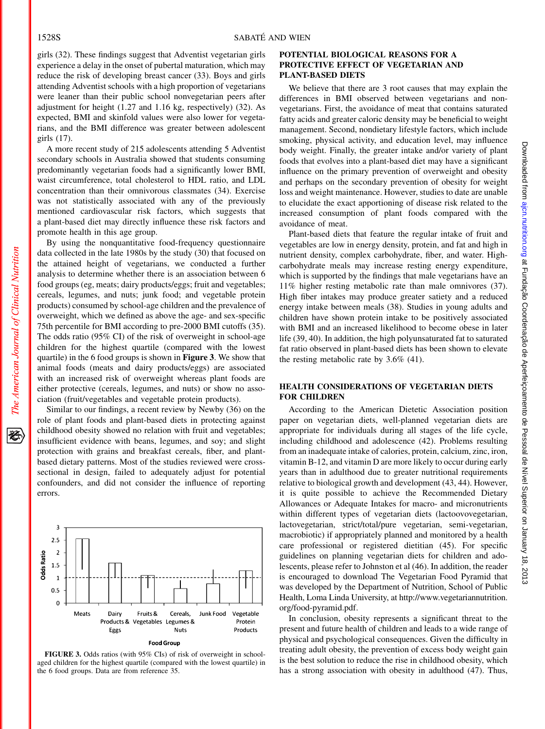girls (32). These findings suggest that Adventist vegetarian girls experience a delay in the onset of pubertal maturation, which may reduce the risk of developing breast cancer (33). Boys and girls attending Adventist schools with a high proportion of vegetarians were leaner than their public school nonvegetarian peers after adjustment for height (1.27 and 1.16 kg, respectively) (32). As expected, BMI and skinfold values were also lower for vegetarians, and the BMI difference was greater between adolescent girls (17).

A more recent study of 215 adolescents attending 5 Adventist secondary schools in Australia showed that students consuming predominantly vegetarian foods had a significantly lower BMI, waist circumference, total cholesterol to HDL ratio, and LDL concentration than their omnivorous classmates (34). Exercise was not statistically associated with any of the previously mentioned cardiovascular risk factors, which suggests that a plant-based diet may directly influence these risk factors and promote health in this age group.

By using the nonquantitative food-frequency questionnaire data collected in the late 1980s by the study (30) that focused on the attained height of vegetarians, we conducted a further analysis to determine whether there is an association between 6 food groups (eg, meats; dairy products/eggs; fruit and vegetables; cereals, legumes, and nuts; junk food; and vegetable protein products) consumed by school-age children and the prevalence of overweight, which we defined as above the age- and sex-specific 75th percentile for BMI according to pre-2000 BMI cutoffs (35). The odds ratio (95% CI) of the risk of overweight in school-age children for the highest quartile (compared with the lowest quartile) in the 6 food groups is shown in Figure 3. We show that animal foods (meats and dairy products/eggs) are associated with an increased risk of overweight whereas plant foods are either protective (cereals, legumes, and nuts) or show no association (fruit/vegetables and vegetable protein products).

Similar to our findings, a recent review by Newby (36) on the role of plant foods and plant-based diets in protecting against childhood obesity showed no relation with fruit and vegetables; insufficient evidence with beans, legumes, and soy; and slight protection with grains and breakfast cereals, fiber, and plantbased dietary patterns. Most of the studies reviewed were crosssectional in design, failed to adequately adjust for potential confounders, and did not consider the influence of reporting errors.



### FIGURE 3. Odds ratios (with 95% CIs) of risk of overweight in schoolaged children for the highest quartile (compared with the lowest quartile) in the 6 food groups. Data are from reference 35.

### POTENTIAL BIOLOGICAL REASONS FOR A PROTECTIVE EFFECT OF VEGETARIAN AND PLANT-BASED DIETS

We believe that there are 3 root causes that may explain the differences in BMI observed between vegetarians and nonvegetarians. First, the avoidance of meat that contains saturated fatty acids and greater caloric density may be beneficial to weight management. Second, nondietary lifestyle factors, which include smoking, physical activity, and education level, may influence body weight. Finally, the greater intake and/or variety of plant foods that evolves into a plant-based diet may have a significant influence on the primary prevention of overweight and obesity and perhaps on the secondary prevention of obesity for weight loss and weight maintenance. However, studies to date are unable to elucidate the exact apportioning of disease risk related to the increased consumption of plant foods compared with the avoidance of meat.

Plant-based diets that feature the regular intake of fruit and vegetables are low in energy density, protein, and fat and high in nutrient density, complex carbohydrate, fiber, and water. Highcarbohydrate meals may increase resting energy expenditure, which is supported by the findings that male vegetarians have an 11% higher resting metabolic rate than male omnivores (37). High fiber intakes may produce greater satiety and a reduced energy intake between meals (38). Studies in young adults and children have shown protein intake to be positively associated with BMI and an increased likelihood to become obese in later life (39, 40). In addition, the high polyunsaturated fat to saturated fat ratio observed in plant-based diets has been shown to elevate the resting metabolic rate by 3.6% (41).

# HEALTH CONSIDERATIONS OF VEGETARIAN DIETS<br>FOR CHILDREN

According to the American Dietetic Association position paper on vegetarian diets, well-planned vegetarian diets are appropriate for individuals during all stages of the life cycle, including childhood and adolescence (42). Problems resulting from an inadequate intake of calories, protein, calcium, zinc, iron, vitamin B-12, and vitamin D are more likely to occur during early years than in adulthood due to greater nutritional requirements relative to biological growth and development (43, 44). However, it is quite possible to achieve the Recommended Dietary Allowances or Adequate Intakes for macro- and micronutrients within different types of vegetarian diets (lactoovovegetarian, lactovegetarian, strict/total/pure vegetarian, semi-vegetarian, macrobiotic) if appropriately planned and monitored by a health care professional or registered dietitian (45). For specific guidelines on planning vegetarian diets for children and adolescents, please refer to Johnston et al (46). In addition, the reader is encouraged to download The Vegetarian Food Pyramid that was developed by the Department of Nutrition, School of Public Health, Loma Linda University, at http://www.vegetariannutrition. org/food-pyramid.pdf.

In conclusion, obesity represents a significant threat to the present and future health of children and leads to a wide range of physical and psychological consequences. Given the difficulty in treating adult obesity, the prevention of excess body weight gain is the best solution to reduce the rise in childhood obesity, which has a strong association with obesity in adulthood (47). Thus,